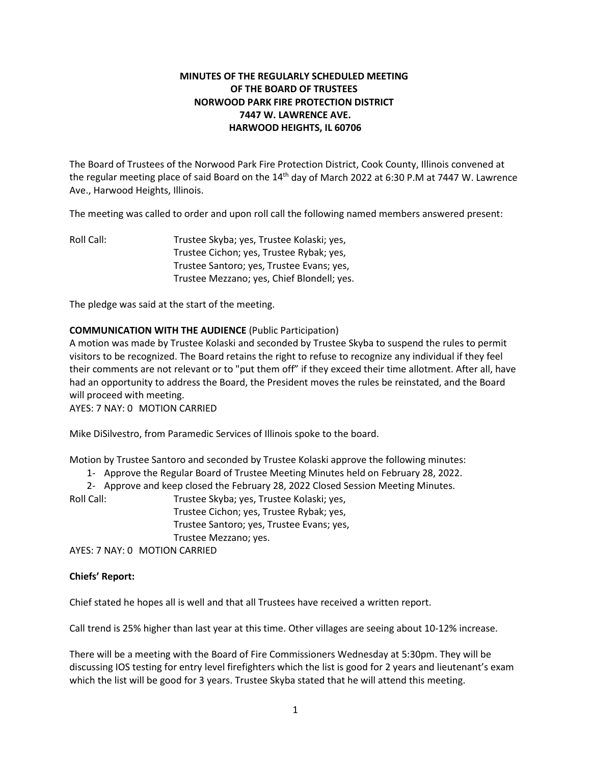# **MINUTES OF THE REGULARLY SCHEDULED MEETING OF THE BOARD OF TRUSTEES NORWOOD PARK FIRE PROTECTION DISTRICT 7447 W. LAWRENCE AVE. HARWOOD HEIGHTS, IL 60706**

The Board of Trustees of the Norwood Park Fire Protection District, Cook County, Illinois convened at the regular meeting place of said Board on the  $14<sup>th</sup>$  day of March 2022 at 6:30 P.M at 7447 W. Lawrence Ave., Harwood Heights, Illinois.

The meeting was called to order and upon roll call the following named members answered present:

Roll Call: Trustee Skyba; yes, Trustee Kolaski; yes, Trustee Cichon; yes, Trustee Rybak; yes, Trustee Santoro; yes, Trustee Evans; yes, Trustee Mezzano; yes, Chief Blondell; yes.

The pledge was said at the start of the meeting.

### **COMMUNICATION WITH THE AUDIENCE** (Public Participation)

A motion was made by Trustee Kolaski and seconded by Trustee Skyba to suspend the rules to permit visitors to be recognized. The Board retains the right to refuse to recognize any individual if they feel their comments are not relevant or to "put them off" if they exceed their time allotment. After all, have had an opportunity to address the Board, the President moves the rules be reinstated, and the Board will proceed with meeting.

AYES: 7 NAY: 0 MOTION CARRIED

Mike DiSilvestro, from Paramedic Services of Illinois spoke to the board.

Motion by Trustee Santoro and seconded by Trustee Kolaski approve the following minutes:

1- Approve the Regular Board of Trustee Meeting Minutes held on February 28, 2022.

2- Approve and keep closed the February 28, 2022 Closed Session Meeting Minutes.

Roll Call: Trustee Skyba; yes, Trustee Kolaski; yes, Trustee Cichon; yes, Trustee Rybak; yes, Trustee Santoro; yes, Trustee Evans; yes, Trustee Mezzano; yes. AYES: 7 NAY: 0 MOTION CARRIED

#### **Chiefs' Report:**

Chief stated he hopes all is well and that all Trustees have received a written report.

Call trend is 25% higher than last year at this time. Other villages are seeing about 10-12% increase.

There will be a meeting with the Board of Fire Commissioners Wednesday at 5:30pm. They will be discussing IOS testing for entry level firefighters which the list is good for 2 years and lieutenant's exam which the list will be good for 3 years. Trustee Skyba stated that he will attend this meeting.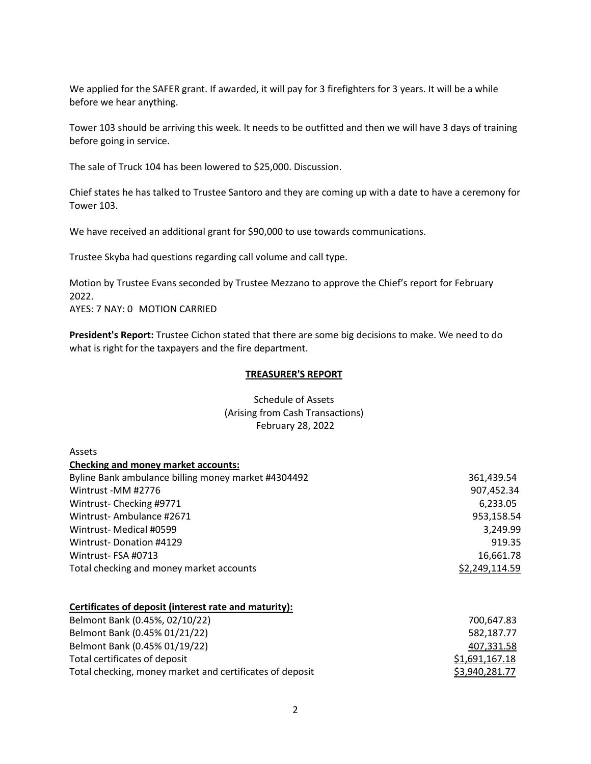We applied for the SAFER grant. If awarded, it will pay for 3 firefighters for 3 years. It will be a while before we hear anything.

Tower 103 should be arriving this week. It needs to be outfitted and then we will have 3 days of training before going in service.

The sale of Truck 104 has been lowered to \$25,000. Discussion.

Chief states he has talked to Trustee Santoro and they are coming up with a date to have a ceremony for Tower 103.

We have received an additional grant for \$90,000 to use towards communications.

Trustee Skyba had questions regarding call volume and call type.

Motion by Trustee Evans seconded by Trustee Mezzano to approve the Chief's report for February 2022. AYES: 7 NAY: 0 MOTION CARRIED

**President's Report:** Trustee Cichon stated that there are some big decisions to make. We need to do what is right for the taxpayers and the fire department.

#### **TREASURER'S REPORT**

## Schedule of Assets (Arising from Cash Transactions) February 28, 2022

| Assets                                              |                |
|-----------------------------------------------------|----------------|
| <b>Checking and money market accounts:</b>          |                |
| Byline Bank ambulance billing money market #4304492 | 361,439.54     |
| Wintrust -MM #2776                                  | 907,452.34     |
| Wintrust-Checking #9771                             | 6,233.05       |
| Wintrust-Ambulance #2671                            | 953,158.54     |
| Wintrust- Medical #0599                             | 3,249.99       |
| <b>Wintrust-Donation #4129</b>                      | 919.35         |
| Wintrust-FSA #0713                                  | 16,661.78      |
| Total checking and money market accounts            | \$2,249,114.59 |

#### **Certificates of deposit (interest rate and maturity):**

| Belmont Bank (0.45%, 02/10/22)                           | 700.647.83     |
|----------------------------------------------------------|----------------|
| Belmont Bank (0.45% 01/21/22)                            | 582.187.77     |
| Belmont Bank (0.45% 01/19/22)                            | 407,331.58     |
| Total certificates of deposit                            | \$1,691,167.18 |
| Total checking, money market and certificates of deposit | \$3,940,281.77 |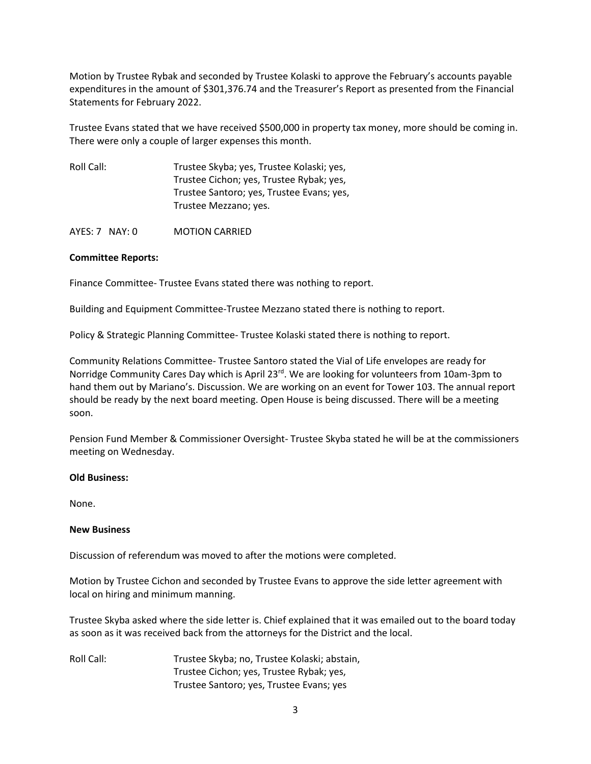Motion by Trustee Rybak and seconded by Trustee Kolaski to approve the February's accounts payable expenditures in the amount of \$301,376.74 and the Treasurer's Report as presented from the Financial Statements for February 2022.

Trustee Evans stated that we have received \$500,000 in property tax money, more should be coming in. There were only a couple of larger expenses this month.

| Roll Call: | Trustee Skyba; yes, Trustee Kolaski; yes, |
|------------|-------------------------------------------|
|            | Trustee Cichon; yes, Trustee Rybak; yes,  |
|            | Trustee Santoro; yes, Trustee Evans; yes, |
|            | Trustee Mezzano; yes.                     |

AYES: 7 NAY: 0 MOTION CARRIED

### **Committee Reports:**

Finance Committee- Trustee Evans stated there was nothing to report.

Building and Equipment Committee-Trustee Mezzano stated there is nothing to report.

Policy & Strategic Planning Committee- Trustee Kolaski stated there is nothing to report.

Community Relations Committee- Trustee Santoro stated the Vial of Life envelopes are ready for Norridge Community Cares Day which is April 23<sup>rd</sup>. We are looking for volunteers from 10am-3pm to hand them out by Mariano's. Discussion. We are working on an event for Tower 103. The annual report should be ready by the next board meeting. Open House is being discussed. There will be a meeting soon.

Pension Fund Member & Commissioner Oversight- Trustee Skyba stated he will be at the commissioners meeting on Wednesday.

#### **Old Business:**

None.

#### **New Business**

Discussion of referendum was moved to after the motions were completed.

Motion by Trustee Cichon and seconded by Trustee Evans to approve the side letter agreement with local on hiring and minimum manning.

Trustee Skyba asked where the side letter is. Chief explained that it was emailed out to the board today as soon as it was received back from the attorneys for the District and the local.

Roll Call: Trustee Skyba; no, Trustee Kolaski; abstain, Trustee Cichon; yes, Trustee Rybak; yes, Trustee Santoro; yes, Trustee Evans; yes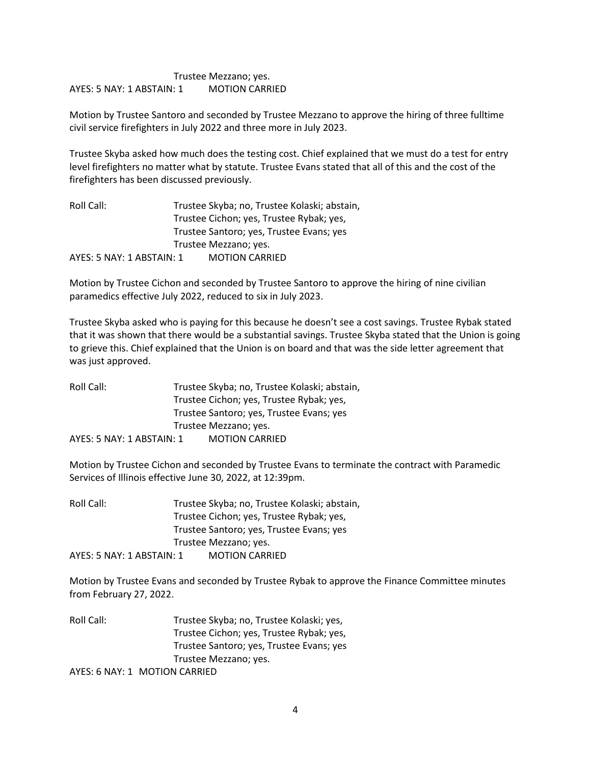## Trustee Mezzano; yes. AYES: 5 NAY: 1 ABSTAIN: 1 MOTION CARRIED

Motion by Trustee Santoro and seconded by Trustee Mezzano to approve the hiring of three fulltime civil service firefighters in July 2022 and three more in July 2023.

Trustee Skyba asked how much does the testing cost. Chief explained that we must do a test for entry level firefighters no matter what by statute. Trustee Evans stated that all of this and the cost of the firefighters has been discussed previously.

| Roll Call:                | Trustee Skyba; no, Trustee Kolaski; abstain, |
|---------------------------|----------------------------------------------|
|                           | Trustee Cichon; yes, Trustee Rybak; yes,     |
|                           | Trustee Santoro; yes, Trustee Evans; yes     |
|                           | Trustee Mezzano; yes.                        |
| AYES: 5 NAY: 1 ABSTAIN: 1 | <b>MOTION CARRIED</b>                        |

Motion by Trustee Cichon and seconded by Trustee Santoro to approve the hiring of nine civilian paramedics effective July 2022, reduced to six in July 2023.

Trustee Skyba asked who is paying for this because he doesn't see a cost savings. Trustee Rybak stated that it was shown that there would be a substantial savings. Trustee Skyba stated that the Union is going to grieve this. Chief explained that the Union is on board and that was the side letter agreement that was just approved.

Roll Call: Trustee Skyba; no, Trustee Kolaski; abstain, Trustee Cichon; yes, Trustee Rybak; yes, Trustee Santoro; yes, Trustee Evans; yes Trustee Mezzano; yes. AYES: 5 NAY: 1 ABSTAIN: 1 MOTION CARRIED

Motion by Trustee Cichon and seconded by Trustee Evans to terminate the contract with Paramedic Services of Illinois effective June 30, 2022, at 12:39pm.

Roll Call: Trustee Skyba; no, Trustee Kolaski; abstain, Trustee Cichon; yes, Trustee Rybak; yes, Trustee Santoro; yes, Trustee Evans; yes Trustee Mezzano; yes. AYES: 5 NAY: 1 ABSTAIN: 1 MOTION CARRIED

Motion by Trustee Evans and seconded by Trustee Rybak to approve the Finance Committee minutes from February 27, 2022.

Roll Call: Trustee Skyba; no, Trustee Kolaski; yes, Trustee Cichon; yes, Trustee Rybak; yes, Trustee Santoro; yes, Trustee Evans; yes Trustee Mezzano; yes. AYES: 6 NAY: 1 MOTION CARRIED

4